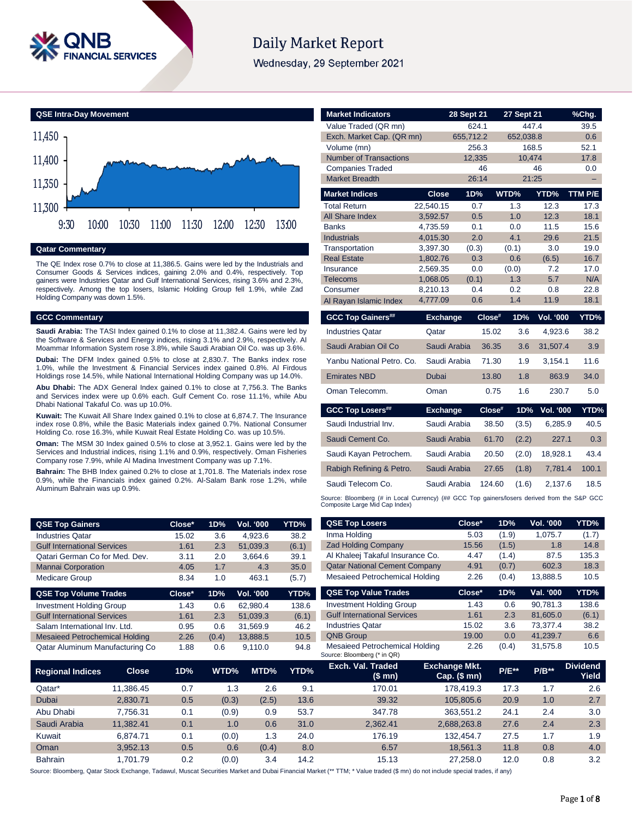

# **Daily Market Report**

Wednesday, 29 September 2021



#### **Qatar Commentary**

The QE Index rose 0.7% to close at 11,386.5. Gains were led by the Industrials and Consumer Goods & Services indices, gaining 2.0% and 0.4%, respectively. Top gainers were Industries Qatar and Gulf International Services, rising 3.6% and 2.3%, respectively. Among the top losers, Islamic Holding Group fell 1.9%, while Zad Holding Company was down 1.5%.

#### **GCC Commentary**

**Saudi Arabia:** The TASI Index gained 0.1% to close at 11,382.4. Gains were led by the Software & Services and Energy indices, rising 3.1% and 2.9%, respectively. Al Moammar Information System rose 3.8%, while Saudi Arabian Oil Co. was up 3.6%.

**Dubai:** The DFM Index gained 0.5% to close at 2,830.7. The Banks index rose 1.0%, while the Investment & Financial Services index gained 0.8%. Al Firdous Holdings rose 14.5%, while National International Holding Company was up 14.0%.

**Abu Dhabi:** The ADX General Index gained 0.1% to close at 7,756.3. The Banks and Services index were up 0.6% each. Gulf Cement Co. rose 11.1%, while Abu Dhabi National Takaful Co. was up 10.0%.

**Kuwait:** The Kuwait All Share Index gained 0.1% to close at 6,874.7. The Insurance index rose 0.8%, while the Basic Materials index gained 0.7%. National Consumer Holding Co. rose 16.3%, while Kuwait Real Estate Holding Co. was up 10.5%.

**Oman:** The MSM 30 Index gained 0.5% to close at 3,952.1. Gains were led by the Services and Industrial indices, rising 1.1% and 0.9%, respectively. Oman Fisheries Company rose 7.9%, while Al Madina Investment Company was up 7.1%.

**Bahrain:** The BHB Index gained 0.2% to close at 1,701.8. The Materials index rose 0.9%, while the Financials index gained 0.2%. Al-Salam Bank rose 1.2%, while Aluminum Bahrain was up 0.9%.

| <b>QSE Top Gainers</b>                | Close* | 1D%   | Vol. '000 | YTD%  |
|---------------------------------------|--------|-------|-----------|-------|
| <b>Industries Qatar</b>               | 15.02  | 3.6   | 4,923.6   | 38.2  |
| <b>Gulf International Services</b>    | 1.61   | 2.3   | 51,039.3  | (6.1) |
| Qatari German Co for Med. Dev.        | 3.11   | 2.0   | 3,664.6   | 39.1  |
| <b>Mannai Corporation</b>             | 4.05   | 1.7   | 4.3       | 35.0  |
| <b>Medicare Group</b>                 | 8.34   | 1.0   | 463.1     | (5.7) |
|                                       |        |       |           |       |
| <b>QSE Top Volume Trades</b>          | Close* | 1D%   | Vol. '000 | YTD%  |
| <b>Investment Holding Group</b>       | 1.43   | 0.6   | 62.980.4  | 138.6 |
| <b>Gulf International Services</b>    | 1.61   | 2.3   | 51,039.3  | (6.1) |
| Salam International Inv. Ltd.         | 0.95   | 0.6   | 31,569.9  | 46.2  |
| <b>Mesaieed Petrochemical Holding</b> | 2.26   | (0.4) | 13,888.5  | 10.5  |

| <b>Market Indicators</b>             |                      | 28 Sept 21   | 27 Sept 21      |                  | <u>%Chg.</u> |
|--------------------------------------|----------------------|--------------|-----------------|------------------|--------------|
| Value Traded (QR mn)                 |                      | 624.1        |                 | 447.4            | 39.5         |
| Exch. Market Cap. (QR mn)            |                      | 655,712.2    | 652,038.8       |                  | 0.6          |
| Volume (mn)                          |                      | 256.3        |                 | 168.5            | 52.1         |
| <b>Number of Transactions</b>        |                      | 12,335       | 10.474          |                  | 17.8         |
| <b>Companies Traded</b>              |                      | 46           |                 | 46               | 0.0          |
| <b>Market Breadth</b>                |                      | 26:14        |                 | 21:25            |              |
| <b>Market Indices</b>                | <b>Close</b>         | 1D%          | WTD%            | YTD%             | TTM P/E      |
| <b>Total Return</b>                  | 22.540.15            | 0.7          | 1.3             | 12.3             | 17.3         |
| <b>All Share Index</b>               | 3,592.57             | 0.5          | 1.0             | 12.3             | 18.1         |
| <b>Banks</b>                         | 4,735.59             | 0.1          | 0.0             | 11.5             | 15.6         |
| <b>Industrials</b>                   | 4,015.30             | 2.0          | 4.1             | 29.6             | 21.5         |
| Transportation<br><b>Real Estate</b> | 3,397.30<br>1,802.76 | (0.3)<br>0.3 | (0.1)<br>0.6    | 3.0              | 19.0<br>16.7 |
| Insurance                            | 2,569.35             | 0.0          | (0.0)           | (6.5)<br>7.2     | 17.0         |
| <b>Telecoms</b>                      | 1,068.05             | (0.1)        | 1.3             | 5.7              | N/A          |
| Consumer                             | 8,210.13             | 0.4          | 0.2             | 0.8              | 22.8         |
| Al Rayan Islamic Index               | 4,777.09             | 0.6          | 1.4             | 11.9             | 18.1         |
| <b>GCC Top Gainers##</b>             | <b>Exchange</b>      | Close#       | 1D%             | <b>Vol. '000</b> | YTD%         |
|                                      |                      |              |                 |                  |              |
| <b>Industries Qatar</b>              | Qatar                |              | 15.02<br>3.6    | 4,923.6          | 38.2         |
| Saudi Arabian Oil Co                 | Saudi Arabia         |              | 36.35<br>3.6    | 31,507.4         | 3.9          |
| Yanbu National Petro. Co.            | Saudi Arabia         |              | 71.30<br>1.9    | 3,154.1          | 11.6         |
| <b>Emirates NBD</b>                  | <b>Dubai</b>         |              | 1.8<br>13.80    | 863.9            | 34.0         |
| Oman Telecomm.                       | Oman                 |              | 1.6<br>0.75     | 230.7            | 5.0          |
| <b>GCC Top Losers##</b>              | <b>Exchange</b>      |              | Close#<br>1D%   | <b>Vol. '000</b> |              |
| Saudi Industrial Inv.                | Saudi Arabia         |              | 38.50<br>(3.5)  | 6,285.9          | 40.5         |
| Saudi Cement Co.                     | Saudi Arabia         |              | 61.70<br>(2.2)  | 227.1            | 0.3          |
| Saudi Kayan Petrochem.               | Saudi Arabia         |              | 20.50<br>(2.0)  | 18,928.1         | 43.4         |
| Rabigh Refining & Petro.             | Saudi Arabia         |              | 27.65<br>(1.8)  | 7,781.4          | 100.1        |
| Saudi Telecom Co.                    | Saudi Arabia         |              | 124.60<br>(1.6) | 2,137.6          | YTD%<br>18.5 |

| <b>QSE Top Gainers</b>                                                                                                                                                     |                                                        | Close* | 1D%      | Vol. '000 | <b>YTD%</b>      | <b>QSE Top Losers</b>                                         | Close*                               | 1D%        | Vol. '000 | <b>YTD%</b>              |
|----------------------------------------------------------------------------------------------------------------------------------------------------------------------------|--------------------------------------------------------|--------|----------|-----------|------------------|---------------------------------------------------------------|--------------------------------------|------------|-----------|--------------------------|
| <b>Industries Qatar</b>                                                                                                                                                    |                                                        | 15.02  | 3.6      | 4,923.6   | 38.2             | Inma Holding                                                  | 5.03                                 | (1.9)      | 1,075.7   | (1.7)                    |
| <b>Gulf International Services</b>                                                                                                                                         |                                                        | 1.61   | 2.3      | 51,039.3  | (6.1)            | <b>Zad Holding Company</b>                                    | 15.56                                | (1.5)      | 1.8       | 14.8                     |
| Qatari German Co for Med. Dev.                                                                                                                                             |                                                        | 3.11   | 2.0      | 3,664.6   | 39.1             | Al Khaleej Takaful Insurance Co.                              | 4.47                                 | (1.4)      | 87.5      | 135.3                    |
| <b>Mannai Corporation</b>                                                                                                                                                  |                                                        | 4.05   | 1.7      | 4.3       | 35.0             | <b>Qatar National Cement Company</b>                          | 4.91                                 | (0.7)      | 602.3     | 18.3                     |
| <b>Medicare Group</b>                                                                                                                                                      |                                                        | 8.34   | 1.0      | 463.1     | (5.7)            | Mesaieed Petrochemical Holding                                | 2.26                                 | (0.4)      | 13,888.5  | 10.5                     |
| <b>QSE Top Volume Trades</b>                                                                                                                                               |                                                        | Close* | 1D%      | Vol. '000 | YTD%             | <b>QSE Top Value Trades</b>                                   | Close*                               | 1D%        | Val. '000 | YTD%                     |
| <b>Investment Holding Group</b>                                                                                                                                            |                                                        | 1.43   | 0.6      | 62,980.4  | 138.6            | <b>Investment Holding Group</b>                               | 1.43                                 | 0.6        | 90,781.3  | 138.6                    |
| <b>Gulf International Services</b>                                                                                                                                         |                                                        | 1.61   | 2.3      | 51,039.3  | (6.1)            | <b>Gulf International Services</b>                            | 1.61                                 | 2.3        | 81,605.0  | (6.1)                    |
| Salam International Inv. Ltd.                                                                                                                                              |                                                        | 0.95   | 0.6      | 31,569.9  | 46.2             | <b>Industries Qatar</b>                                       | 15.02                                | 3.6        | 73.377.4  | 38.2                     |
|                                                                                                                                                                            | <b>Mesaieed Petrochemical Holding</b><br>2.26<br>(0.4) |        | 13,888.5 | 10.5      | <b>QNB Group</b> | 19.00                                                         | 0.0                                  | 41,239.7   | 6.6       |                          |
| Qatar Aluminum Manufacturing Co                                                                                                                                            |                                                        | 1.88   | 0.6      | 9,110.0   | 94.8             | Mesaieed Petrochemical Holding<br>Source: Bloomberg (* in QR) | 2.26                                 | (0.4)      | 31,575.8  | 10.5                     |
| <b>Regional Indices</b>                                                                                                                                                    | <b>Close</b>                                           | 1D%    | WTD%     | MTD%      | YTD%             | Exch. Val. Traded<br>(\$ mn)                                  | <b>Exchange Mkt.</b><br>Cap. $($mn)$ | $P/E^{**}$ | $P/B**$   | <b>Dividend</b><br>Yield |
| Qatar*                                                                                                                                                                     | 11,386.45                                              | 0.7    | 1.3      | 2.6       | 9.1              | 170.01                                                        | 178,419.3                            | 17.3       | 1.7       | 2.6                      |
| Dubai                                                                                                                                                                      | 2,830.71                                               | 0.5    | (0.3)    | (2.5)     | 13.6             | 39.32                                                         | 105,805.6                            | 20.9       | 1.0       | 2.7                      |
| Abu Dhabi                                                                                                                                                                  | 7,756.31                                               | 0.1    | (0.9)    | 0.9       | 53.7             | 347.78                                                        | 363,551.2                            | 24.1       | 2.4       | 3.0                      |
| Saudi Arabia                                                                                                                                                               | 11,382.41                                              | 0.1    | 1.0      | 0.6       | 31.0             | 2,362.41                                                      | 2,688,263.8                          | 27.6       | 2.4       | 2.3                      |
| Kuwait                                                                                                                                                                     | 6,874.71                                               | 0.1    | (0.0)    | 1.3       | 24.0             | 176.19                                                        | 132,454.7                            | 27.5       | 1.7       | 1.9                      |
| Oman                                                                                                                                                                       | 3,952.13                                               | 0.5    | 0.6      | (0.4)     | 8.0              | 6.57                                                          | 18,561.3                             | 11.8       | 0.8       | 4.0                      |
| Bahrain                                                                                                                                                                    | 1,701.79                                               | 0.2    | (0.0)    | 3.4       | 14.2             | 15.13                                                         | 27,258.0                             | 12.0       | 0.8       | 3.2                      |
| urce: Bloomberg, Oater Stock Exchange, Tadawul, Muscat Securities Market and Dubai Einancial Market (** TTM: * Value traded (\$ mn) de not include special trades, if any) |                                                        |        |          |           |                  |                                                               |                                      |            |           |                          |

Source: Bloomberg, Qatar Stock Exchange, Tadawul, Muscat Securities Market and Dubai Financial Mar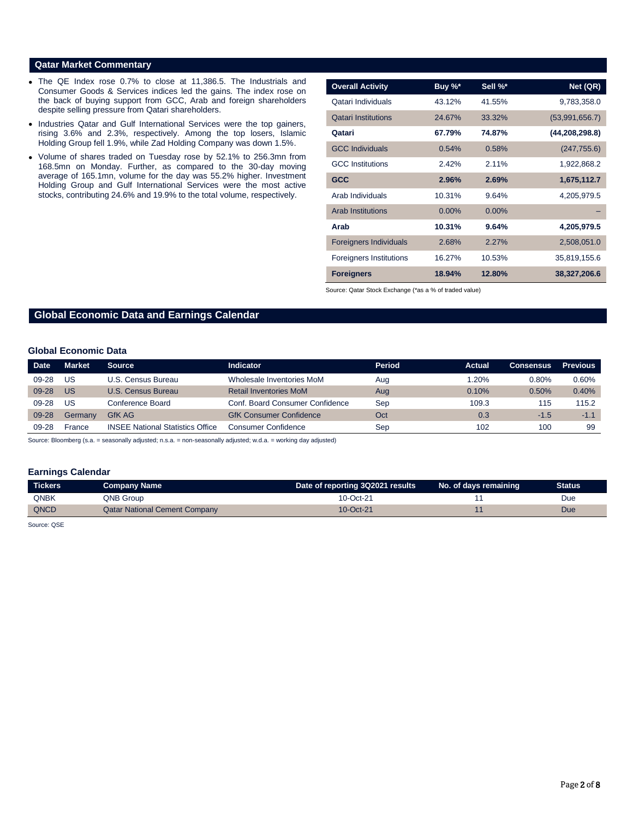### **Qatar Market Commentary**

- The QE Index rose 0.7% to close at 11,386.5. The Industrials and Consumer Goods & Services indices led the gains. The index rose on the back of buying support from GCC, Arab and foreign shareholders despite selling pressure from Qatari shareholders.
- Industries Qatar and Gulf International Services were the top gainers, rising 3.6% and 2.3%, respectively. Among the top losers, Islamic Holding Group fell 1.9%, while Zad Holding Company was down 1.5%.
- Volume of shares traded on Tuesday rose by 52.1% to 256.3mn from 168.5mn on Monday. Further, as compared to the 30-day moving average of 165.1mn, volume for the day was 55.2% higher. Investment Holding Group and Gulf International Services were the most active stocks, contributing 24.6% and 19.9% to the total volume, respectively.

| <b>Overall Activity</b>        | Buy %*   | Sell %*  | Net (QR)         |
|--------------------------------|----------|----------|------------------|
| Qatari Individuals             | 43.12%   | 41.55%   | 9,783,358.0      |
| <b>Qatari Institutions</b>     | 24.67%   | 33.32%   | (53,991,656.7)   |
| Qatari                         | 67.79%   | 74.87%   | (44, 208, 298.8) |
| <b>GCC Individuals</b>         | 0.54%    | 0.58%    | (247, 755.6)     |
| <b>GCC</b> Institutions        | 2.42%    | $2.11\%$ | 1,922,868.2      |
| <b>GCC</b>                     | 2.96%    | 2.69%    | 1,675,112.7      |
| Arab Individuals               | 10.31%   | 9.64%    | 4,205,979.5      |
| <b>Arab Institutions</b>       | $0.00\%$ | $0.00\%$ |                  |
| Arab                           | 10.31%   | 9.64%    | 4,205,979.5      |
| <b>Foreigners Individuals</b>  | 2.68%    | 2.27%    | 2,508,051.0      |
| <b>Foreigners Institutions</b> | 16.27%   | 10.53%   | 35,819,155.6     |
| <b>Foreigners</b>              | 18.94%   | 12.80%   | 38,327,206.6     |

Source: Qatar Stock Exchange (\*as a % of traded value)

# **Global Economic Data and Earnings Calendar**

#### **Global Economic Data**

| <b>Date</b> | <b>Market</b> | <b>Source</b>                           | Indicator                       | <b>Period</b> | Actual | <b>Consensus</b> | <b>Previous</b> |
|-------------|---------------|-----------------------------------------|---------------------------------|---------------|--------|------------------|-----------------|
| $09 - 28$   | US            | U.S. Census Bureau                      | Wholesale Inventories MoM       | Aug           | .20%   | 0.80%            | 0.60%           |
| $09 - 28$   | US            | U.S. Census Bureau                      | <b>Retail Inventories MoM</b>   | Aug           | 0.10%  | 0.50%            | 0.40%           |
| $09 - 28$   | US            | Conference Board                        | Conf. Board Consumer Confidence | Sep           | 109.3  | 115              | 115.2           |
| 09-28       | Germany       | GfK AG                                  | <b>GfK Consumer Confidence</b>  | Oct           | 0.3    | $-1.5$           | $-1.1$          |
| $09 - 28$   | France        | <b>INSEE National Statistics Office</b> | Consumer Confidence             | Sep           | 102    | 100              | -99             |

Source: Bloomberg (s.a. = seasonally adjusted; n.s.a. = non-seasonally adjusted; w.d.a. = working day adjusted)

#### **Earnings Calendar**

| Tickers     | Company Name                         | Date of reporting 3Q2021 results | No. of days remaining | Status |
|-------------|--------------------------------------|----------------------------------|-----------------------|--------|
| <b>QNBK</b> | QNB Group                            | 10-Oct-21                        |                       | Due    |
| QNCD        | <b>Qatar National Cement Company</b> | 10-Oct-21                        |                       | Due    |

Source: QSE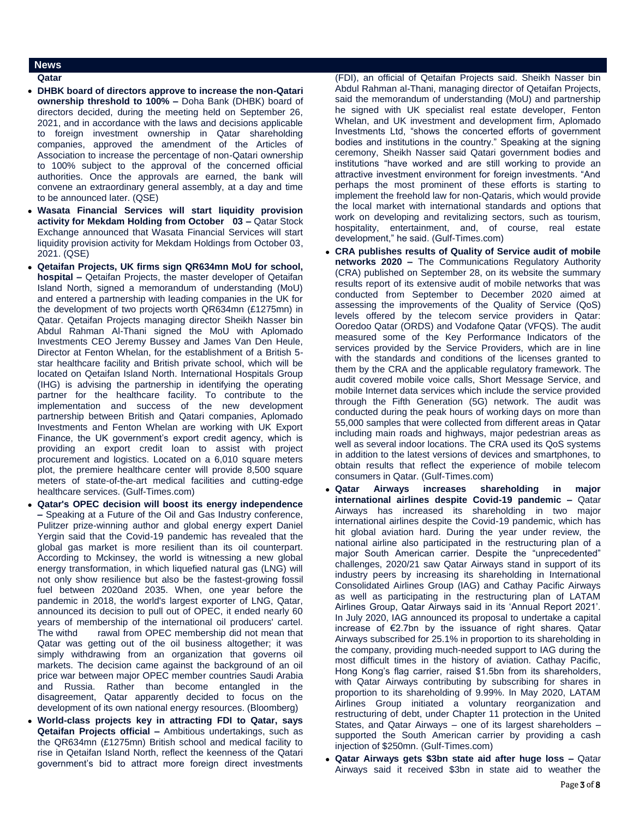## **News**

#### **Qatar**

- **DHBK board of directors approve to increase the non-Qatari ownership threshold to 100% –** Doha Bank (DHBK) board of directors decided, during the meeting held on September 26, 2021, and in accordance with the laws and decisions applicable to foreign investment ownership in Qatar shareholding companies, approved the amendment of the Articles of Association to increase the percentage of non-Qatari ownership to 100% subject to the approval of the concerned official authorities. Once the approvals are earned, the bank will convene an extraordinary general assembly, at a day and time to be announced later. (QSE)
- **Wasata Financial Services will start liquidity provision activity for Mekdam Holding from October 03 –** Qatar Stock Exchange announced that Wasata Financial Services will start liquidity provision activity for Mekdam Holdings from October 03, 2021. (QSE)
- **Qetaifan Projects, UK firms sign QR634mn MoU for school, hospital –** Qetaifan Projects, the master developer of Qetaifan Island North, signed a memorandum of understanding (MoU) and entered a partnership with leading companies in the UK for the development of two projects worth QR634mn (£1275mn) in Qatar. Qetaifan Projects managing director Sheikh Nasser bin Abdul Rahman Al-Thani signed the MoU with Aplomado Investments CEO Jeremy Bussey and James Van Den Heule, Director at Fenton Whelan, for the establishment of a British 5 star healthcare facility and British private school, which will be located on Qetaifan Island North. International Hospitals Group (IHG) is advising the partnership in identifying the operating partner for the healthcare facility. To contribute to the implementation and success of the new development partnership between British and Qatari companies, Aplomado Investments and Fenton Whelan are working with UK Export Finance, the UK government's export credit agency, which is providing an export credit loan to assist with project procurement and logistics. Located on a 6,010 square meters plot, the premiere healthcare center will provide 8,500 square meters of state-of-the-art medical facilities and cutting-edge healthcare services. (Gulf-Times.com)
- **Qatar's OPEC decision will boost its energy independence –** Speaking at a Future of the Oil and Gas Industry conference, Pulitzer prize-winning author and global energy expert Daniel Yergin said that the Covid-19 pandemic has revealed that the global gas market is more resilient than its oil counterpart. According to Mckinsey, the world is witnessing a new global energy transformation, in which liquefied natural gas (LNG) will not only show resilience but also be the fastest-growing fossil fuel between 2020and 2035. When, one year before the pandemic in 2018, the world's largest exporter of LNG, Qatar, announced its decision to pull out of OPEC, it ended nearly 60 years of membership of the international oil producers' cartel. The withd rawal from OPEC membership did not mean that Qatar was getting out of the oil business altogether; it was simply withdrawing from an organization that governs oil markets. The decision came against the background of an oil price war between major OPEC member countries Saudi Arabia and Russia. Rather than become entangled in the disagreement, Qatar apparently decided to focus on the development of its own national energy resources. (Bloomberg)
- **World-class projects key in attracting FDI to Qatar, says Qetaifan Projects official –** Ambitious undertakings, such as the QR634mn (£1275mn) British school and medical facility to rise in Qetaifan Island North, reflect the keenness of the Qatari government's bid to attract more foreign direct investments

(FDI), an official of Qetaifan Projects said. Sheikh Nasser bin Abdul Rahman al-Thani, managing director of Qetaifan Projects, said the memorandum of understanding (MoU) and partnership he signed with UK specialist real estate developer, Fenton Whelan, and UK investment and development firm, Aplomado Investments Ltd, "shows the concerted efforts of government bodies and institutions in the country." Speaking at the signing ceremony, Sheikh Nasser said Qatari government bodies and institutions "have worked and are still working to provide an attractive investment environment for foreign investments. "And perhaps the most prominent of these efforts is starting to implement the freehold law for non-Qataris, which would provide the local market with international standards and options that work on developing and revitalizing sectors, such as tourism, hospitality, entertainment, and, of course, real estate development," he said. (Gulf-Times.com)

- **CRA publishes results of Quality of Service audit of mobile networks 2020 –** The Communications Regulatory Authority (CRA) published on September 28, on its website the summary results report of its extensive audit of mobile networks that was conducted from September to December 2020 aimed at assessing the improvements of the Quality of Service (QoS) levels offered by the telecom service providers in Qatar: Ooredoo Qatar (ORDS) and Vodafone Qatar (VFQS). The audit measured some of the Key Performance Indicators of the services provided by the Service Providers, which are in line with the standards and conditions of the licenses granted to them by the CRA and the applicable regulatory framework. The audit covered mobile voice calls, Short Message Service, and mobile Internet data services which include the service provided through the Fifth Generation (5G) network. The audit was conducted during the peak hours of working days on more than 55,000 samples that were collected from different areas in Qatar including main roads and highways, major pedestrian areas as well as several indoor locations. The CRA used its QoS systems in addition to the latest versions of devices and smartphones, to obtain results that reflect the experience of mobile telecom consumers in Qatar. (Gulf-Times.com)
- **Qatar Airways increases shareholding in major international airlines despite Covid-19 pandemic –** Qatar Airways has increased its shareholding in two major international airlines despite the Covid-19 pandemic, which has hit global aviation hard. During the year under review, the national airline also participated in the restructuring plan of a major South American carrier. Despite the "unprecedented" challenges, 2020/21 saw Qatar Airways stand in support of its industry peers by increasing its shareholding in International Consolidated Airlines Group (IAG) and Cathay Pacific Airways as well as participating in the restructuring plan of LATAM Airlines Group, Qatar Airways said in its 'Annual Report 2021'. In July 2020, IAG announced its proposal to undertake a capital increase of €2.7bn by the issuance of right shares. Qatar Airways subscribed for 25.1% in proportion to its shareholding in the company, providing much-needed support to IAG during the most difficult times in the history of aviation. Cathay Pacific, Hong Kong's flag carrier, raised \$1.5bn from its shareholders, with Qatar Airways contributing by subscribing for shares in proportion to its shareholding of 9.99%. In May 2020, LATAM Airlines Group initiated a voluntary reorganization and restructuring of debt, under Chapter 11 protection in the United States, and Qatar Airways – one of its largest shareholders – supported the South American carrier by providing a cash injection of \$250mn. (Gulf-Times.com)
- **Qatar Airways gets \$3bn state aid after huge loss –** Qatar Airways said it received \$3bn in state aid to weather the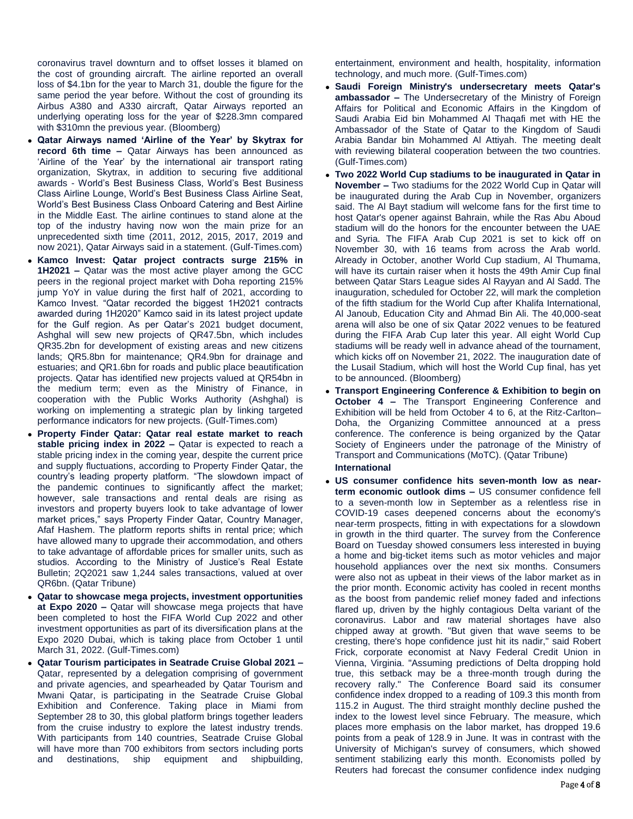coronavirus travel downturn and to offset losses it blamed on the cost of grounding aircraft. The airline reported an overall loss of \$4.1bn for the year to March 31, double the figure for the same period the year before. Without the cost of grounding its Airbus A380 and A330 aircraft, Qatar Airways reported an underlying operating loss for the year of \$228.3mn compared with \$310mn the previous year. (Bloomberg)

- **Qatar Airways named 'Airline of the Year' by Skytrax for record 6th time –** Qatar Airways has been announced as 'Airline of the Year' by the international air transport rating organization, Skytrax, in addition to securing five additional awards - World's Best Business Class, World's Best Business Class Airline Lounge, World's Best Business Class Airline Seat, World's Best Business Class Onboard Catering and Best Airline in the Middle East. The airline continues to stand alone at the top of the industry having now won the main prize for an unprecedented sixth time (2011, 2012, 2015, 2017, 2019 and now 2021), Qatar Airways said in a statement. (Gulf-Times.com)
- **Kamco Invest: Qatar project contracts surge 215% in 1H2021 –** Qatar was the most active player among the GCC peers in the regional project market with Doha reporting 215% jump YoY in value during the first half of 2021, according to Kamco Invest. "Qatar recorded the biggest 1H2021 contracts awarded during 1H2020" Kamco said in its latest project update for the Gulf region. As per Qatar's 2021 budget document, Ashghal will sew new projects of QR47.5bn, which includes QR35.2bn for development of existing areas and new citizens lands; QR5.8bn for maintenance; QR4.9bn for drainage and estuaries; and QR1.6bn for roads and public place beautification projects. Qatar has identified new projects valued at QR54bn in the medium term; even as the Ministry of Finance, in cooperation with the Public Works Authority (Ashghal) is working on implementing a strategic plan by linking targeted performance indicators for new projects. (Gulf-Times.com)
- **Property Finder Qatar: Qatar real estate market to reach stable pricing index in 2022 –** Qatar is expected to reach a stable pricing index in the coming year, despite the current price and supply fluctuations, according to Property Finder Qatar, the country's leading property platform. "The slowdown impact of the pandemic continues to significantly affect the market; however, sale transactions and rental deals are rising as investors and property buyers look to take advantage of lower market prices," says Property Finder Qatar, Country Manager, Afaf Hashem. The platform reports shifts in rental price; which have allowed many to upgrade their accommodation, and others to take advantage of affordable prices for smaller units, such as studios. According to the Ministry of Justice's Real Estate Bulletin; 2Q2021 saw 1,244 sales transactions, valued at over QR6bn. (Qatar Tribune)
- **Qatar to showcase mega projects, investment opportunities at Expo 2020 –** Qatar will showcase mega projects that have been completed to host the FIFA World Cup 2022 and other investment opportunities as part of its diversification plans at the Expo 2020 Dubai, which is taking place from October 1 until March 31, 2022. (Gulf-Times.com)
- **Qatar Tourism participates in Seatrade Cruise Global 2021 –** Qatar, represented by a delegation comprising of government and private agencies, and spearheaded by Qatar Tourism and Mwani Qatar, is participating in the Seatrade Cruise Global Exhibition and Conference. Taking place in Miami from September 28 to 30, this global platform brings together leaders from the cruise industry to explore the latest industry trends. With participants from 140 countries, Seatrade Cruise Global will have more than 700 exhibitors from sectors including ports and destinations, ship equipment and shipbuilding,

entertainment, environment and health, hospitality, information technology, and much more. (Gulf-Times.com)

- **Saudi Foreign Ministry's undersecretary meets Qatar's ambassador –** The Undersecretary of the Ministry of Foreign Affairs for Political and Economic Affairs in the Kingdom of Saudi Arabia Eid bin Mohammed Al Thaqafi met with HE the Ambassador of the State of Qatar to the Kingdom of Saudi Arabia Bandar bin Mohammed Al Attiyah. The meeting dealt with reviewing bilateral cooperation between the two countries. (Gulf-Times.com)
- **Two 2022 World Cup stadiums to be inaugurated in Qatar in November –** Two stadiums for the 2022 World Cup in Qatar will be inaugurated during the Arab Cup in November, organizers said. The Al Bayt stadium will welcome fans for the first time to host Qatar's opener against Bahrain, while the Ras Abu Aboud stadium will do the honors for the encounter between the UAE and Syria. The FIFA Arab Cup 2021 is set to kick off on November 30, with 16 teams from across the Arab world. Already in October, another World Cup stadium, Al Thumama, will have its curtain raiser when it hosts the 49th Amir Cup final between Qatar Stars League sides Al Rayyan and Al Sadd. The inauguration, scheduled for October 22, will mark the completion of the fifth stadium for the World Cup after Khalifa International, Al Janoub, Education City and Ahmad Bin Ali. The 40,000-seat arena will also be one of six Qatar 2022 venues to be featured during the FIFA Arab Cup later this year. All eight World Cup stadiums will be ready well in advance ahead of the tournament, which kicks off on November 21, 2022. The inauguration date of the Lusail Stadium, which will host the World Cup final, has yet to be announced. (Bloomberg)
- **Transport Engineering Conference & Exhibition to begin on October 4 –** The Transport Engineering Conference and Exhibition will be held from October 4 to 6, at the Ritz-Carlton– Doha, the Organizing Committee announced at a press conference. The conference is being organized by the Qatar Society of Engineers under the patronage of the Ministry of Transport and Communications (MoTC). (Qatar Tribune) **International**
- **US consumer confidence hits seven-month low as nearterm economic outlook dims –** US consumer confidence fell to a seven-month low in September as a relentless rise in COVID-19 cases deepened concerns about the economy's near-term prospects, fitting in with expectations for a slowdown in growth in the third quarter. The survey from the Conference Board on Tuesday showed consumers less interested in buying a home and big-ticket items such as motor vehicles and major household appliances over the next six months. Consumers were also not as upbeat in their views of the labor market as in the prior month. Economic activity has cooled in recent months as the boost from pandemic relief money faded and infections flared up, driven by the highly contagious Delta variant of the coronavirus. Labor and raw material shortages have also chipped away at growth. "But given that wave seems to be cresting, there's hope confidence just hit its nadir," said Robert Frick, corporate economist at Navy Federal Credit Union in Vienna, Virginia. "Assuming predictions of Delta dropping hold true, this setback may be a three-month trough during the recovery rally." The Conference Board said its consumer confidence index dropped to a reading of 109.3 this month from 115.2 in August. The third straight monthly decline pushed the index to the lowest level since February. The measure, which places more emphasis on the labor market, has dropped 19.6 points from a peak of 128.9 in June. It was in contrast with the University of Michigan's survey of consumers, which showed sentiment stabilizing early this month. Economists polled by Reuters had forecast the consumer confidence index nudging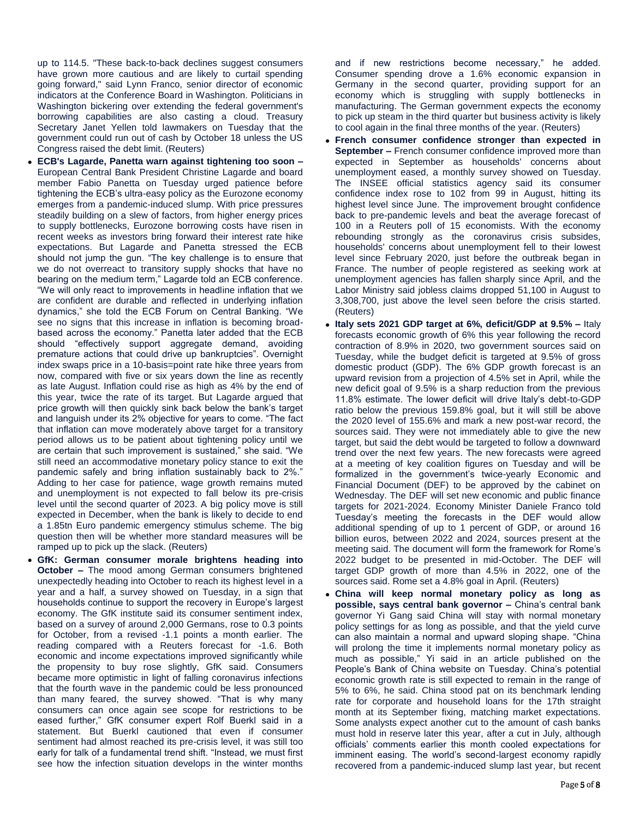up to 114.5. "These back-to-back declines suggest consumers have grown more cautious and are likely to curtail spending going forward," said Lynn Franco, senior director of economic indicators at the Conference Board in Washington. Politicians in Washington bickering over extending the federal government's borrowing capabilities are also casting a cloud. Treasury Secretary Janet Yellen told lawmakers on Tuesday that the government could run out of cash by October 18 unless the US Congress raised the debt limit. (Reuters)

- **ECB's Lagarde, Panetta warn against tightening too soon –** European Central Bank President Christine Lagarde and board member Fabio Panetta on Tuesday urged patience before tightening the ECB's ultra-easy policy as the Eurozone economy emerges from a pandemic-induced slump. With price pressures steadily building on a slew of factors, from higher energy prices to supply bottlenecks, Eurozone borrowing costs have risen in recent weeks as investors bring forward their interest rate hike expectations. But Lagarde and Panetta stressed the ECB should not jump the gun. "The key challenge is to ensure that we do not overreact to transitory supply shocks that have no bearing on the medium term," Lagarde told an ECB conference. "We will only react to improvements in headline inflation that we are confident are durable and reflected in underlying inflation dynamics," she told the ECB Forum on Central Banking. "We see no signs that this increase in inflation is becoming broadbased across the economy." Panetta later added that the ECB should "effectively support aggregate demand, avoiding premature actions that could drive up bankruptcies". Overnight index swaps price in a 10-basis=point rate hike three years from now, compared with five or six years down the line as recently as late August. Inflation could rise as high as 4% by the end of this year, twice the rate of its target. But Lagarde argued that price growth will then quickly sink back below the bank's target and languish under its 2% objective for years to come. "The fact that inflation can move moderately above target for a transitory period allows us to be patient about tightening policy until we are certain that such improvement is sustained," she said. "We still need an accommodative monetary policy stance to exit the pandemic safely and bring inflation sustainably back to 2%." Adding to her case for patience, wage growth remains muted and unemployment is not expected to fall below its pre-crisis level until the second quarter of 2023. A big policy move is still expected in December, when the bank is likely to decide to end a 1.85tn Euro pandemic emergency stimulus scheme. The big question then will be whether more standard measures will be ramped up to pick up the slack. (Reuters)
- **GfK: German consumer morale brightens heading into October –** The mood among German consumers brightened unexpectedly heading into October to reach its highest level in a year and a half, a survey showed on Tuesday, in a sign that households continue to support the recovery in Europe's largest economy. The GfK institute said its consumer sentiment index, based on a survey of around 2,000 Germans, rose to 0.3 points for October, from a revised -1.1 points a month earlier. The reading compared with a Reuters forecast for -1.6. Both economic and income expectations improved significantly while the propensity to buy rose slightly, GfK said. Consumers became more optimistic in light of falling coronavirus infections that the fourth wave in the pandemic could be less pronounced than many feared, the survey showed. "That is why many consumers can once again see scope for restrictions to be eased further," GfK consumer expert Rolf Buerkl said in a statement. But Buerkl cautioned that even if consumer sentiment had almost reached its pre-crisis level, it was still too early for talk of a fundamental trend shift. "Instead, we must first see how the infection situation develops in the winter months

and if new restrictions become necessary," he added. Consumer spending drove a 1.6% economic expansion in Germany in the second quarter, providing support for an economy which is struggling with supply bottlenecks in manufacturing. The German government expects the economy to pick up steam in the third quarter but business activity is likely to cool again in the final three months of the year. (Reuters)

- **French consumer confidence stronger than expected in September –** French consumer confidence improved more than expected in September as households' concerns about unemployment eased, a monthly survey showed on Tuesday. The INSEE official statistics agency said its consumer confidence index rose to 102 from 99 in August, hitting its highest level since June. The improvement brought confidence back to pre-pandemic levels and beat the average forecast of 100 in a Reuters poll of 15 economists. With the economy rebounding strongly as the coronavirus crisis subsides, households' concerns about unemployment fell to their lowest level since February 2020, just before the outbreak began in France. The number of people registered as seeking work at unemployment agencies has fallen sharply since April, and the Labor Ministry said jobless claims dropped 51,100 in August to 3,308,700, just above the level seen before the crisis started. (Reuters)
- **Italy sets 2021 GDP target at 6%, deficit/GDP at 9.5% –** Italy forecasts economic growth of 6% this year following the record contraction of 8.9% in 2020, two government sources said on Tuesday, while the budget deficit is targeted at 9.5% of gross domestic product (GDP). The 6% GDP growth forecast is an upward revision from a projection of 4.5% set in April, while the new deficit goal of 9.5% is a sharp reduction from the previous 11.8% estimate. The lower deficit will drive Italy's debt-to-GDP ratio below the previous 159.8% goal, but it will still be above the 2020 level of 155.6% and mark a new post-war record, the sources said. They were not immediately able to give the new target, but said the debt would be targeted to follow a downward trend over the next few years. The new forecasts were agreed at a meeting of key coalition figures on Tuesday and will be formalized in the government's twice-yearly Economic and Financial Document (DEF) to be approved by the cabinet on Wednesday. The DEF will set new economic and public finance targets for 2021-2024. Economy Minister Daniele Franco told Tuesday's meeting the forecasts in the DEF would allow additional spending of up to 1 percent of GDP, or around 16 billion euros, between 2022 and 2024, sources present at the meeting said. The document will form the framework for Rome's 2022 budget to be presented in mid-October. The DEF will target GDP growth of more than 4.5% in 2022, one of the sources said. Rome set a 4.8% goal in April. (Reuters)
- **China will keep normal monetary policy as long as possible, says central bank governor –** China's central bank governor Yi Gang said China will stay with normal monetary policy settings for as long as possible, and that the yield curve can also maintain a normal and upward sloping shape. "China will prolong the time it implements normal monetary policy as much as possible," Yi said in an article published on the People's Bank of China website on Tuesday. China's potential economic growth rate is still expected to remain in the range of 5% to 6%, he said. China stood pat on its benchmark lending rate for corporate and household loans for the 17th straight month at its September fixing, matching market expectations. Some analysts expect another cut to the amount of cash banks must hold in reserve later this year, after a cut in July, although officials' comments earlier this month cooled expectations for imminent easing. The world's second-largest economy rapidly recovered from a pandemic-induced slump last year, but recent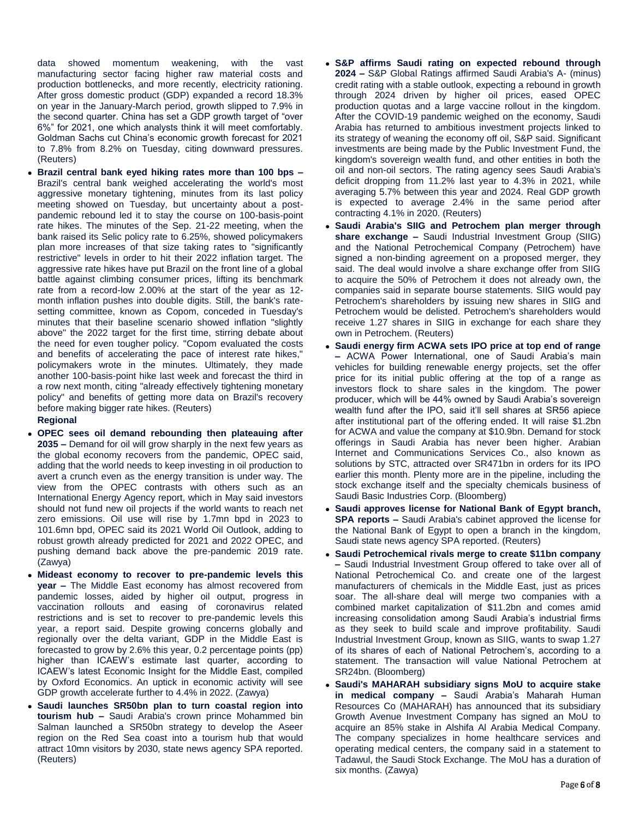data showed momentum weakening, with the vast manufacturing sector facing higher raw material costs and production bottlenecks, and more recently, electricity rationing. After gross domestic product (GDP) expanded a record 18.3% on year in the January-March period, growth slipped to 7.9% in the second quarter. China has set a GDP growth target of "over 6%" for 2021, one which analysts think it will meet comfortably. Goldman Sachs cut China's economic growth forecast for 2021 to 7.8% from 8.2% on Tuesday, citing downward pressures. (Reuters)

 **Brazil central bank eyed hiking rates more than 100 bps –** Brazil's central bank weighed accelerating the world's most aggressive monetary tightening, minutes from its last policy meeting showed on Tuesday, but uncertainty about a postpandemic rebound led it to stay the course on 100-basis-point rate hikes. The minutes of the Sep. 21-22 meeting, when the bank raised its Selic policy rate to 6.25%, showed policymakers plan more increases of that size taking rates to "significantly restrictive" levels in order to hit their 2022 inflation target. The aggressive rate hikes have put Brazil on the front line of a global battle against climbing consumer prices, lifting its benchmark rate from a record-low 2.00% at the start of the year as 12 month inflation pushes into double digits. Still, the bank's ratesetting committee, known as Copom, conceded in Tuesday's minutes that their baseline scenario showed inflation "slightly above" the 2022 target for the first time, stirring debate about the need for even tougher policy. "Copom evaluated the costs and benefits of accelerating the pace of interest rate hikes," policymakers wrote in the minutes. Ultimately, they made another 100-basis-point hike last week and forecast the third in a row next month, citing "already effectively tightening monetary policy" and benefits of getting more data on Brazil's recovery before making bigger rate hikes. (Reuters)

### **Regional**

- **OPEC sees oil demand rebounding then plateauing after 2035 –** Demand for oil will grow sharply in the next few years as the global economy recovers from the pandemic, OPEC said, adding that the world needs to keep investing in oil production to avert a crunch even as the energy transition is under way. The view from the OPEC contrasts with others such as an International Energy Agency report, which in May said investors should not fund new oil projects if the world wants to reach net zero emissions. Oil use will rise by 1.7mn bpd in 2023 to 101.6mn bpd, OPEC said its 2021 World Oil Outlook, adding to robust growth already predicted for 2021 and 2022 OPEC, and pushing demand back above the pre-pandemic 2019 rate. (Zawya)
- **Mideast economy to recover to pre-pandemic levels this year –** The Middle East economy has almost recovered from pandemic losses, aided by higher oil output, progress in vaccination rollouts and easing of coronavirus related restrictions and is set to recover to pre-pandemic levels this year, a report said. Despite growing concerns globally and regionally over the delta variant, GDP in the Middle East is forecasted to grow by 2.6% this year, 0.2 percentage points (pp) higher than ICAEW's estimate last quarter, according to ICAEW's latest Economic Insight for the Middle East, compiled by Oxford Economics. An uptick in economic activity will see GDP growth accelerate further to 4.4% in 2022. (Zawya)
- **Saudi launches SR50bn plan to turn coastal region into tourism hub –** Saudi Arabia's crown prince Mohammed bin Salman launched a SR50bn strategy to develop the Aseer region on the Red Sea coast into a tourism hub that would attract 10mn visitors by 2030, state news agency SPA reported. (Reuters)
- **S&P affirms Saudi rating on expected rebound through 2024 –** S&P Global Ratings affirmed Saudi Arabia's A- (minus) credit rating with a stable outlook, expecting a rebound in growth through 2024 driven by higher oil prices, eased OPEC production quotas and a large vaccine rollout in the kingdom. After the COVID-19 pandemic weighed on the economy, Saudi Arabia has returned to ambitious investment projects linked to its strategy of weaning the economy off oil, S&P said. Significant investments are being made by the Public Investment Fund, the kingdom's sovereign wealth fund, and other entities in both the oil and non-oil sectors. The rating agency sees Saudi Arabia's deficit dropping from 11.2% last year to 4.3% in 2021, while averaging 5.7% between this year and 2024. Real GDP growth is expected to average 2.4% in the same period after contracting 4.1% in 2020. (Reuters)
- **Saudi Arabia's SIIG and Petrochem plan merger through share exchange –** Saudi Industrial Investment Group (SIIG) and the National Petrochemical Company (Petrochem) have signed a non-binding agreement on a proposed merger, they said. The deal would involve a share exchange offer from SIIG to acquire the 50% of Petrochem it does not already own, the companies said in separate bourse statements. SIIG would pay Petrochem's shareholders by issuing new shares in SIIG and Petrochem would be delisted. Petrochem's shareholders would receive 1.27 shares in SIIG in exchange for each share they own in Petrochem. (Reuters)
- **Saudi energy firm ACWA sets IPO price at top end of range –** ACWA Power International, one of Saudi Arabia's main vehicles for building renewable energy projects, set the offer price for its initial public offering at the top of a range as investors flock to share sales in the kingdom. The power producer, which will be 44% owned by Saudi Arabia's sovereign wealth fund after the IPO, said it'll sell shares at SR56 apiece after institutional part of the offering ended. It will raise \$1.2bn for ACWA and value the company at \$10.9bn. Demand for stock offerings in Saudi Arabia has never been higher. Arabian Internet and Communications Services Co., also known as solutions by STC, attracted over SR471bn in orders for its IPO earlier this month. Plenty more are in the pipeline, including the stock exchange itself and the specialty chemicals business of Saudi Basic Industries Corp. (Bloomberg)
- **Saudi approves license for National Bank of Egypt branch, SPA reports –** Saudi Arabia's cabinet approved the license for the National Bank of Egypt to open a branch in the kingdom, Saudi state news agency SPA reported. (Reuters)
- **Saudi Petrochemical rivals merge to create \$11bn company –** Saudi Industrial Investment Group offered to take over all of National Petrochemical Co. and create one of the largest manufacturers of chemicals in the Middle East, just as prices soar. The all-share deal will merge two companies with a combined market capitalization of \$11.2bn and comes amid increasing consolidation among Saudi Arabia's industrial firms as they seek to build scale and improve profitability. Saudi Industrial Investment Group, known as SIIG, wants to swap 1.27 of its shares of each of National Petrochem's, according to a statement. The transaction will value National Petrochem at SR24bn. (Bloomberg)
- **Saudi's MAHARAH subsidiary signs MoU to acquire stake in medical company –** Saudi Arabia's Maharah Human Resources Co (MAHARAH) has announced that its subsidiary Growth Avenue Investment Company has signed an MoU to acquire an 85% stake in Alshifa Al Arabia Medical Company. The company specializes in home healthcare services and operating medical centers, the company said in a statement to Tadawul, the Saudi Stock Exchange. The MoU has a duration of six months. (Zawya)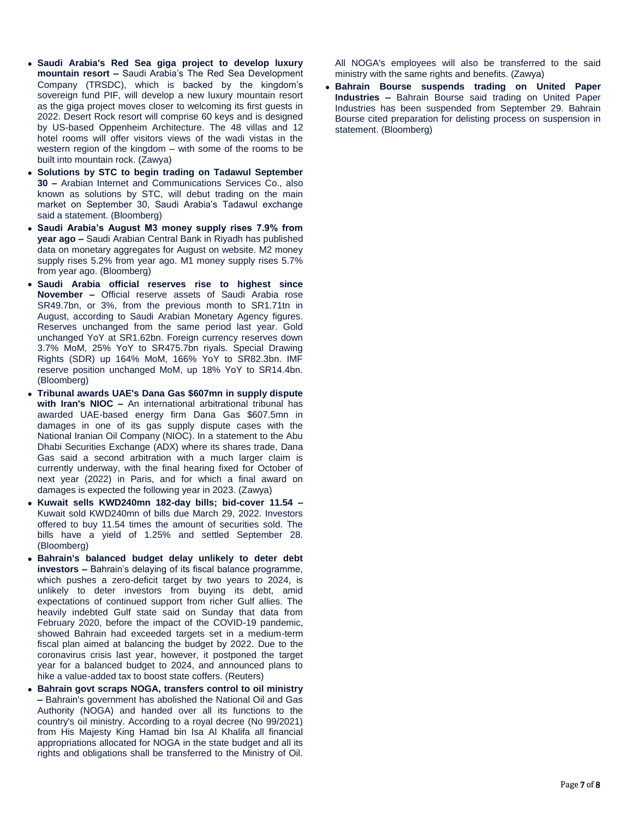- **Saudi Arabia's Red Sea giga project to develop luxury mountain resort –** Saudi Arabia's The Red Sea Development Company (TRSDC), which is backed by the kingdom's sovereign fund PIF, will develop a new luxury mountain resort as the giga project moves closer to welcoming its first guests in 2022. Desert Rock resort will comprise 60 keys and is designed by US-based Oppenheim Architecture. The 48 villas and 12 hotel rooms will offer visitors views of the wadi vistas in the western region of the kingdom – with some of the rooms to be built into mountain rock. (Zawya)
- **Solutions by STC to begin trading on Tadawul September 30 –** Arabian Internet and Communications Services Co., also known as solutions by STC, will debut trading on the main market on September 30, Saudi Arabia's Tadawul exchange said a statement. (Bloomberg)
- **Saudi Arabia's August M3 money supply rises 7.9% from year ago –** Saudi Arabian Central Bank in Riyadh has published data on monetary aggregates for August on website. M2 money supply rises 5.2% from year ago. M1 money supply rises 5.7% from year ago. (Bloomberg)
- **Saudi Arabia official reserves rise to highest since November –** Official reserve assets of Saudi Arabia rose SR49.7bn, or 3%, from the previous month to SR1.71tn in August, according to Saudi Arabian Monetary Agency figures. Reserves unchanged from the same period last year. Gold unchanged YoY at SR1.62bn. Foreign currency reserves down 3.7% MoM, 25% YoY to SR475.7bn riyals. Special Drawing Rights (SDR) up 164% MoM, 166% YoY to SR82.3bn. IMF reserve position unchanged MoM, up 18% YoY to SR14.4bn. (Bloomberg)
- **Tribunal awards UAE's Dana Gas \$607mn in supply dispute with Iran's NIOC –** An international arbitrational tribunal has awarded UAE-based energy firm Dana Gas \$607.5mn in damages in one of its gas supply dispute cases with the National Iranian Oil Company (NIOC). In a statement to the Abu Dhabi Securities Exchange (ADX) where its shares trade, Dana Gas said a second arbitration with a much larger claim is currently underway, with the final hearing fixed for October of next year (2022) in Paris, and for which a final award on damages is expected the following year in 2023. (Zawya)
- **Kuwait sells KWD240mn 182-day bills; bid-cover 11.54 –** Kuwait sold KWD240mn of bills due March 29, 2022. Investors offered to buy 11.54 times the amount of securities sold. The bills have a yield of 1.25% and settled September 28. (Bloomberg)
- **Bahrain's balanced budget delay unlikely to deter debt investors –** Bahrain's delaying of its fiscal balance programme, which pushes a zero-deficit target by two years to 2024, is unlikely to deter investors from buying its debt, amid expectations of continued support from richer Gulf allies. The heavily indebted Gulf state said on Sunday that data from February 2020, before the impact of the COVID-19 pandemic, showed Bahrain had exceeded targets set in a medium-term fiscal plan aimed at balancing the budget by 2022. Due to the coronavirus crisis last year, however, it postponed the target year for a balanced budget to 2024, and announced plans to hike a value-added tax to boost state coffers. (Reuters)
- **Bahrain govt scraps NOGA, transfers control to oil ministry –** Bahrain's government has abolished the National Oil and Gas Authority (NOGA) and handed over all its functions to the country's oil ministry. According to a royal decree (No 99/2021) from His Majesty King Hamad bin Isa Al Khalifa all financial appropriations allocated for NOGA in the state budget and all its rights and obligations shall be transferred to the Ministry of Oil.

All NOGA's employees will also be transferred to the said ministry with the same rights and benefits. (Zawya)

 **Bahrain Bourse suspends trading on United Paper Industries –** Bahrain Bourse said trading on United Paper Industries has been suspended from September 29. Bahrain Bourse cited preparation for delisting process on suspension in statement. (Bloomberg)